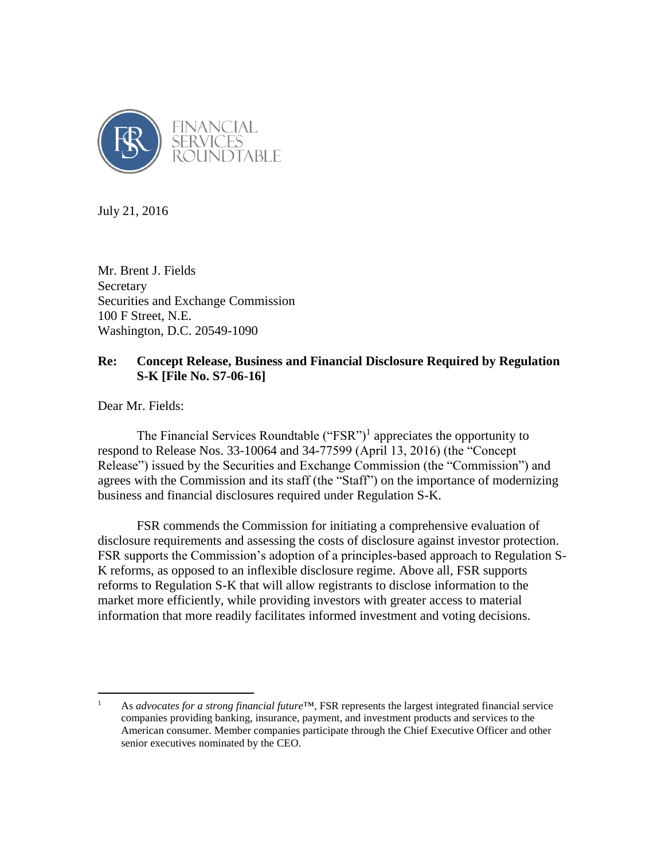

July 21, 2016

Mr. Brent J. Fields Secretary Securities and Exchange Commission 100 F Street, N.E. Washington, D.C. 20549-1090

# **Re: Concept Release, Business and Financial Disclosure Required by Regulation S-K [File No. S7-06-16]**

Dear Mr. Fields:

 $\overline{a}$ 

The Financial Services Roundtable  $("FSR")<sup>1</sup>$  appreciates the opportunity to respond to Release Nos. 33-10064 and 34-77599 (April 13, 2016) (the "Concept Release") issued by the Securities and Exchange Commission (the "Commission") and agrees with the Commission and its staff (the "Staff") on the importance of modernizing business and financial disclosures required under Regulation S-K.

FSR commends the Commission for initiating a comprehensive evaluation of disclosure requirements and assessing the costs of disclosure against investor protection. FSR supports the Commission's adoption of a principles-based approach to Regulation S-K reforms, as opposed to an inflexible disclosure regime. Above all, FSR supports reforms to Regulation S-K that will allow registrants to disclose information to the market more efficiently, while providing investors with greater access to material information that more readily facilitates informed investment and voting decisions.

<sup>1</sup> As *advocates for a strong financial future*™, FSR represents the largest integrated financial service companies providing banking, insurance, payment, and investment products and services to the American consumer. Member companies participate through the Chief Executive Officer and other senior executives nominated by the CEO.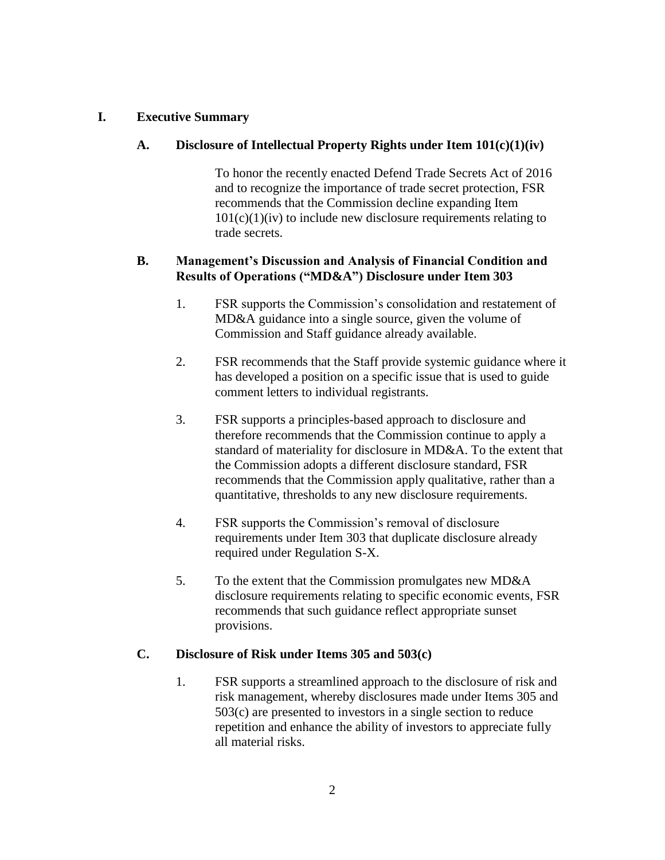## **I. Executive Summary**

## **A. Disclosure of Intellectual Property Rights under Item 101(c)(1)(iv)**

To honor the recently enacted Defend Trade Secrets Act of 2016 and to recognize the importance of trade secret protection, FSR recommends that the Commission decline expanding Item  $101(c)(1)(iv)$  to include new disclosure requirements relating to trade secrets.

## **B. Management's Discussion and Analysis of Financial Condition and Results of Operations ("MD&A") Disclosure under Item 303**

- 1. FSR supports the Commission's consolidation and restatement of MD&A guidance into a single source, given the volume of Commission and Staff guidance already available.
- 2. FSR recommends that the Staff provide systemic guidance where it has developed a position on a specific issue that is used to guide comment letters to individual registrants.
- 3. FSR supports a principles-based approach to disclosure and therefore recommends that the Commission continue to apply a standard of materiality for disclosure in MD&A. To the extent that the Commission adopts a different disclosure standard, FSR recommends that the Commission apply qualitative, rather than a quantitative, thresholds to any new disclosure requirements.
- 4. FSR supports the Commission's removal of disclosure requirements under Item 303 that duplicate disclosure already required under Regulation S-X.
- 5. To the extent that the Commission promulgates new MD&A disclosure requirements relating to specific economic events, FSR recommends that such guidance reflect appropriate sunset provisions.

## **C. Disclosure of Risk under Items 305 and 503(c)**

1. FSR supports a streamlined approach to the disclosure of risk and risk management, whereby disclosures made under Items 305 and 503(c) are presented to investors in a single section to reduce repetition and enhance the ability of investors to appreciate fully all material risks.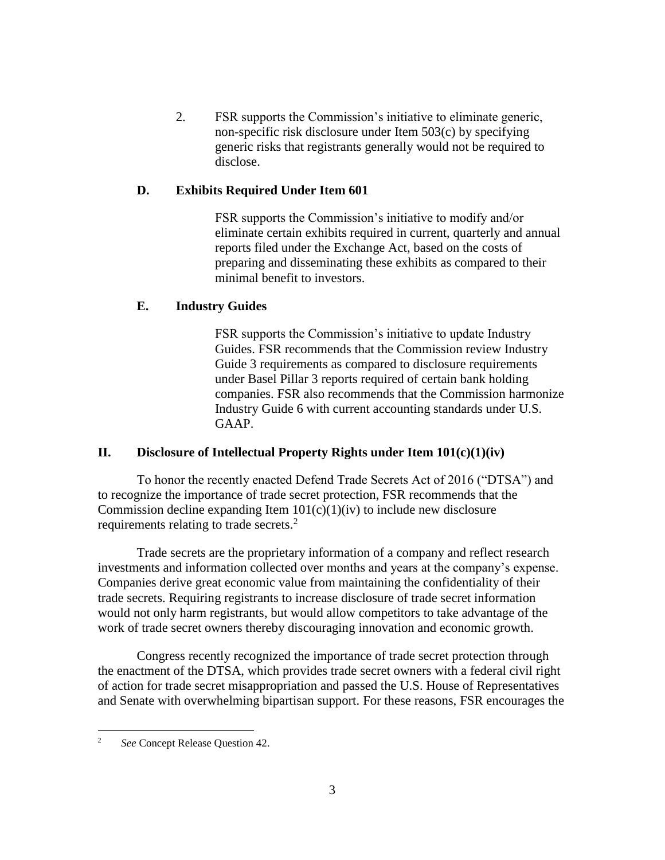2. FSR supports the Commission's initiative to eliminate generic, non-specific risk disclosure under Item 503(c) by specifying generic risks that registrants generally would not be required to disclose.

## **D. Exhibits Required Under Item 601**

FSR supports the Commission's initiative to modify and/or eliminate certain exhibits required in current, quarterly and annual reports filed under the Exchange Act, based on the costs of preparing and disseminating these exhibits as compared to their minimal benefit to investors.

## **E. Industry Guides**

FSR supports the Commission's initiative to update Industry Guides. FSR recommends that the Commission review Industry Guide 3 requirements as compared to disclosure requirements under Basel Pillar 3 reports required of certain bank holding companies. FSR also recommends that the Commission harmonize Industry Guide 6 with current accounting standards under U.S. GAAP.

### **II. Disclosure of Intellectual Property Rights under Item 101(c)(1)(iv)**

To honor the recently enacted Defend Trade Secrets Act of 2016 ("DTSA") and to recognize the importance of trade secret protection, FSR recommends that the Commission decline expanding Item  $101(c)(1)(iv)$  to include new disclosure requirements relating to trade secrets.<sup>2</sup>

Trade secrets are the proprietary information of a company and reflect research investments and information collected over months and years at the company's expense. Companies derive great economic value from maintaining the confidentiality of their trade secrets. Requiring registrants to increase disclosure of trade secret information would not only harm registrants, but would allow competitors to take advantage of the work of trade secret owners thereby discouraging innovation and economic growth.

Congress recently recognized the importance of trade secret protection through the enactment of the DTSA, which provides trade secret owners with a federal civil right of action for trade secret misappropriation and passed the U.S. House of Representatives and Senate with overwhelming bipartisan support. For these reasons, FSR encourages the

 $\overline{c}$ <sup>2</sup> *See* Concept Release Question 42.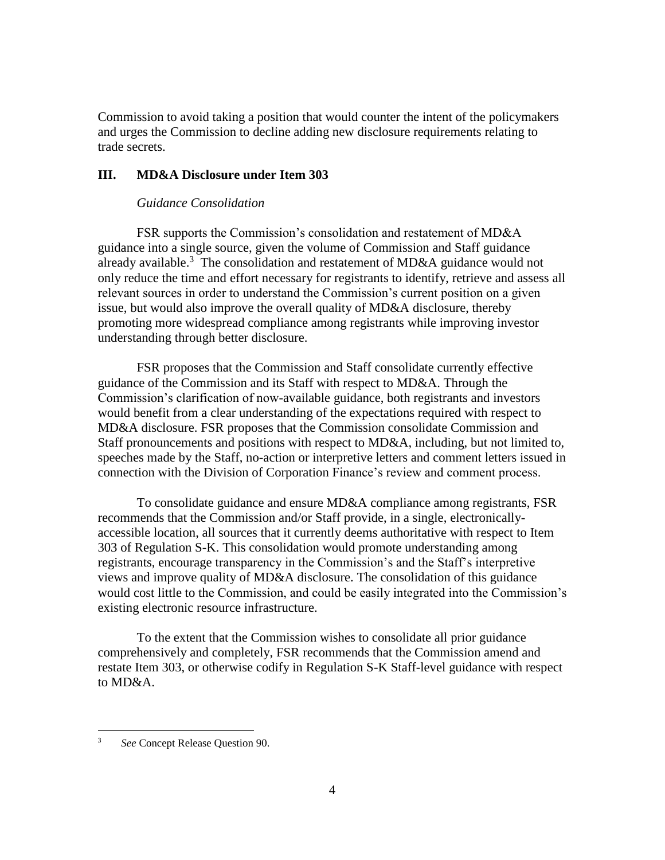Commission to avoid taking a position that would counter the intent of the policymakers and urges the Commission to decline adding new disclosure requirements relating to trade secrets.

### **III. MD&A Disclosure under Item 303**

## *Guidance Consolidation*

FSR supports the Commission's consolidation and restatement of MD&A guidance into a single source, given the volume of Commission and Staff guidance already available.<sup>3</sup> The consolidation and restatement of MD&A guidance would not only reduce the time and effort necessary for registrants to identify, retrieve and assess all relevant sources in order to understand the Commission's current position on a given issue, but would also improve the overall quality of MD&A disclosure, thereby promoting more widespread compliance among registrants while improving investor understanding through better disclosure.

FSR proposes that the Commission and Staff consolidate currently effective guidance of the Commission and its Staff with respect to MD&A. Through the Commission's clarification of now-available guidance, both registrants and investors would benefit from a clear understanding of the expectations required with respect to MD&A disclosure. FSR proposes that the Commission consolidate Commission and Staff pronouncements and positions with respect to MD&A, including, but not limited to, speeches made by the Staff, no-action or interpretive letters and comment letters issued in connection with the Division of Corporation Finance's review and comment process.

To consolidate guidance and ensure MD&A compliance among registrants, FSR recommends that the Commission and/or Staff provide, in a single, electronicallyaccessible location, all sources that it currently deems authoritative with respect to Item 303 of Regulation S-K. This consolidation would promote understanding among registrants, encourage transparency in the Commission's and the Staff's interpretive views and improve quality of MD&A disclosure. The consolidation of this guidance would cost little to the Commission, and could be easily integrated into the Commission's existing electronic resource infrastructure.

To the extent that the Commission wishes to consolidate all prior guidance comprehensively and completely, FSR recommends that the Commission amend and restate Item 303, or otherwise codify in Regulation S-K Staff-level guidance with respect to MD&A.

 $\overline{3}$ <sup>3</sup> *See* Concept Release Question 90.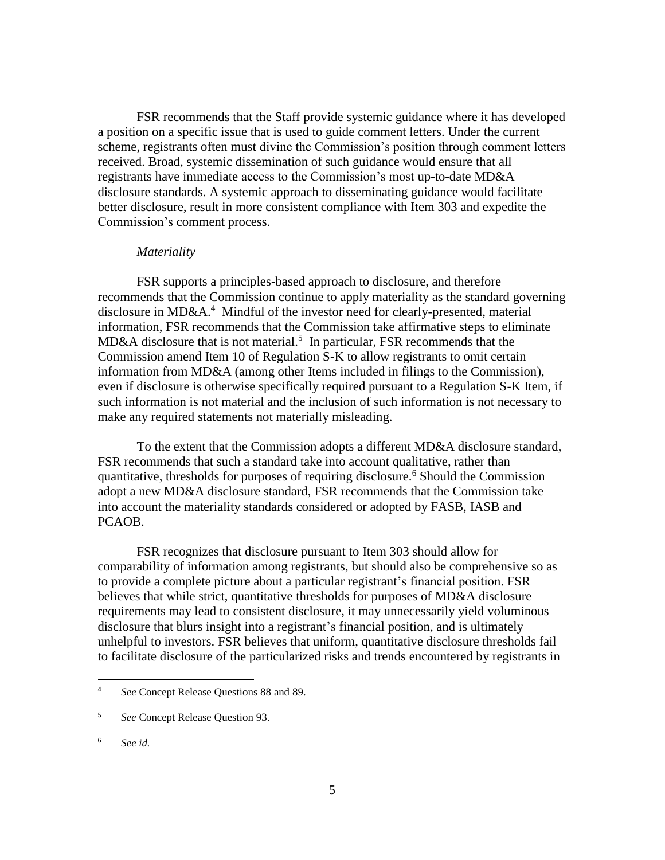FSR recommends that the Staff provide systemic guidance where it has developed a position on a specific issue that is used to guide comment letters. Under the current scheme, registrants often must divine the Commission's position through comment letters received. Broad, systemic dissemination of such guidance would ensure that all registrants have immediate access to the Commission's most up-to-date MD&A disclosure standards. A systemic approach to disseminating guidance would facilitate better disclosure, result in more consistent compliance with Item 303 and expedite the Commission's comment process.

#### *Materiality*

FSR supports a principles-based approach to disclosure, and therefore recommends that the Commission continue to apply materiality as the standard governing disclosure in MD&A.<sup>4</sup> Mindful of the investor need for clearly-presented, material information, FSR recommends that the Commission take affirmative steps to eliminate MD&A disclosure that is not material.<sup>5</sup> In particular, FSR recommends that the Commission amend Item 10 of Regulation S-K to allow registrants to omit certain information from MD&A (among other Items included in filings to the Commission), even if disclosure is otherwise specifically required pursuant to a Regulation S-K Item, if such information is not material and the inclusion of such information is not necessary to make any required statements not materially misleading.

To the extent that the Commission adopts a different MD&A disclosure standard, FSR recommends that such a standard take into account qualitative, rather than quantitative, thresholds for purposes of requiring disclosure.<sup>6</sup> Should the Commission adopt a new MD&A disclosure standard, FSR recommends that the Commission take into account the materiality standards considered or adopted by FASB, IASB and PCAOB.

FSR recognizes that disclosure pursuant to Item 303 should allow for comparability of information among registrants, but should also be comprehensive so as to provide a complete picture about a particular registrant's financial position. FSR believes that while strict, quantitative thresholds for purposes of MD&A disclosure requirements may lead to consistent disclosure, it may unnecessarily yield voluminous disclosure that blurs insight into a registrant's financial position, and is ultimately unhelpful to investors. FSR believes that uniform, quantitative disclosure thresholds fail to facilitate disclosure of the particularized risks and trends encountered by registrants in

<sup>4</sup> *See* Concept Release Questions 88 and 89.

<sup>5</sup> *See* Concept Release Question 93.

<sup>6</sup> *See id.*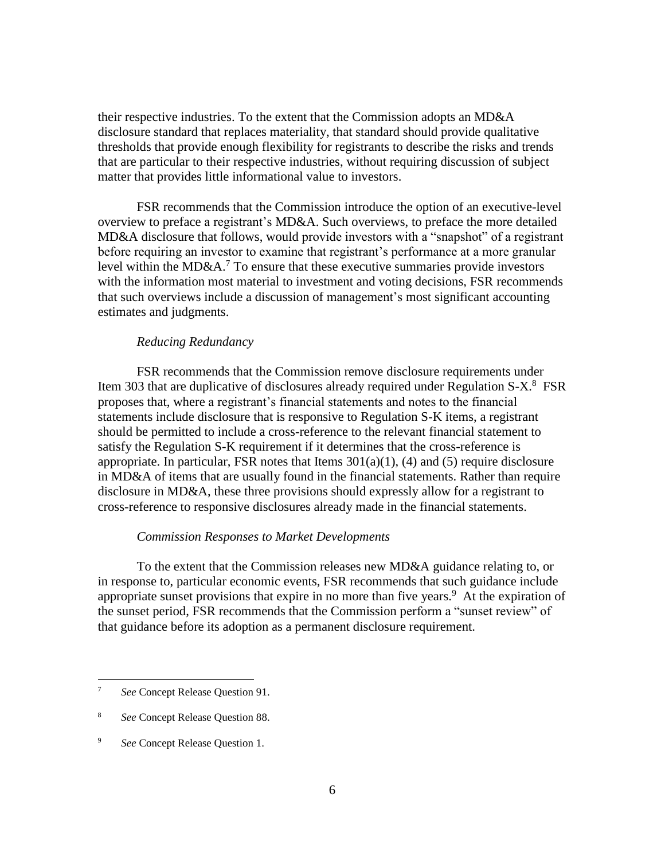their respective industries. To the extent that the Commission adopts an MD&A disclosure standard that replaces materiality, that standard should provide qualitative thresholds that provide enough flexibility for registrants to describe the risks and trends that are particular to their respective industries, without requiring discussion of subject matter that provides little informational value to investors.

FSR recommends that the Commission introduce the option of an executive-level overview to preface a registrant's MD&A. Such overviews, to preface the more detailed MD&A disclosure that follows, would provide investors with a "snapshot" of a registrant before requiring an investor to examine that registrant's performance at a more granular level within the MD&A.<sup>7</sup> To ensure that these executive summaries provide investors with the information most material to investment and voting decisions, FSR recommends that such overviews include a discussion of management's most significant accounting estimates and judgments.

#### *Reducing Redundancy*

FSR recommends that the Commission remove disclosure requirements under Item 303 that are duplicative of disclosures already required under Regulation S-X.<sup>8</sup> FSR proposes that, where a registrant's financial statements and notes to the financial statements include disclosure that is responsive to Regulation S-K items, a registrant should be permitted to include a cross-reference to the relevant financial statement to satisfy the Regulation S-K requirement if it determines that the cross-reference is appropriate. In particular, FSR notes that Items  $301(a)(1)$ , (4) and (5) require disclosure in MD&A of items that are usually found in the financial statements. Rather than require disclosure in MD&A, these three provisions should expressly allow for a registrant to cross-reference to responsive disclosures already made in the financial statements.

### *Commission Responses to Market Developments*

To the extent that the Commission releases new MD&A guidance relating to, or in response to, particular economic events, FSR recommends that such guidance include appropriate sunset provisions that expire in no more than five years. 9 At the expiration of the sunset period, FSR recommends that the Commission perform a "sunset review" of that guidance before its adoption as a permanent disclosure requirement.

<sup>7</sup> *See* Concept Release Question 91.

<sup>8</sup> *See* Concept Release Question 88.

<sup>9</sup> *See* Concept Release Question 1.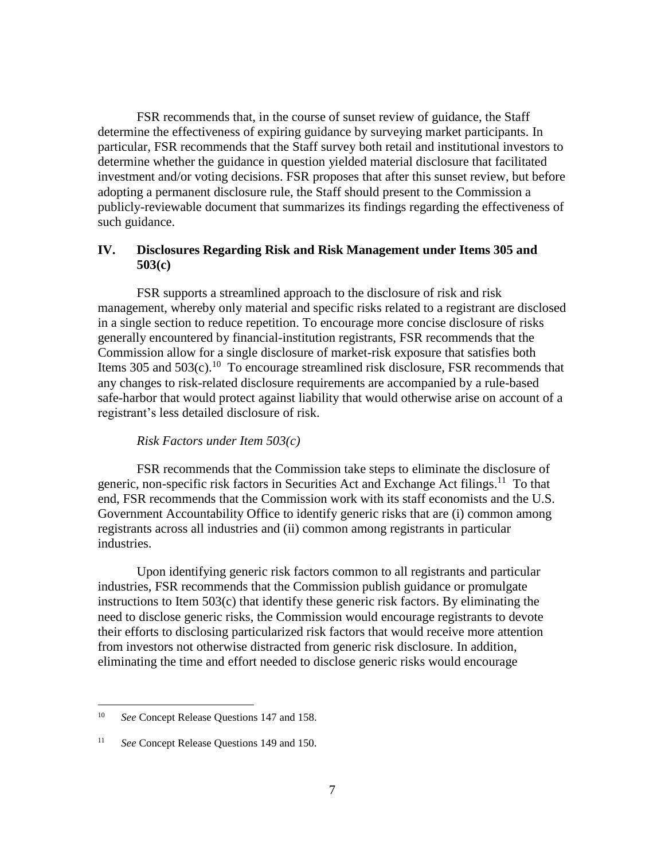FSR recommends that, in the course of sunset review of guidance, the Staff determine the effectiveness of expiring guidance by surveying market participants. In particular, FSR recommends that the Staff survey both retail and institutional investors to determine whether the guidance in question yielded material disclosure that facilitated investment and/or voting decisions. FSR proposes that after this sunset review, but before adopting a permanent disclosure rule, the Staff should present to the Commission a publicly-reviewable document that summarizes its findings regarding the effectiveness of such guidance.

## **IV. Disclosures Regarding Risk and Risk Management under Items 305 and 503(c)**

FSR supports a streamlined approach to the disclosure of risk and risk management, whereby only material and specific risks related to a registrant are disclosed in a single section to reduce repetition. To encourage more concise disclosure of risks generally encountered by financial-institution registrants, FSR recommends that the Commission allow for a single disclosure of market-risk exposure that satisfies both Items 305 and  $503(c)$ .<sup>10</sup> To encourage streamlined risk disclosure, FSR recommends that any changes to risk-related disclosure requirements are accompanied by a rule-based safe-harbor that would protect against liability that would otherwise arise on account of a registrant's less detailed disclosure of risk.

#### *Risk Factors under Item 503(c)*

FSR recommends that the Commission take steps to eliminate the disclosure of generic, non-specific risk factors in Securities Act and Exchange Act filings.<sup>11</sup> To that end, FSR recommends that the Commission work with its staff economists and the U.S. Government Accountability Office to identify generic risks that are (i) common among registrants across all industries and (ii) common among registrants in particular industries.

Upon identifying generic risk factors common to all registrants and particular industries, FSR recommends that the Commission publish guidance or promulgate instructions to Item  $503(c)$  that identify these generic risk factors. By eliminating the need to disclose generic risks, the Commission would encourage registrants to devote their efforts to disclosing particularized risk factors that would receive more attention from investors not otherwise distracted from generic risk disclosure. In addition, eliminating the time and effort needed to disclose generic risks would encourage

<sup>10</sup> *See* Concept Release Questions 147 and 158.

<sup>11</sup> *See* Concept Release Questions 149 and 150.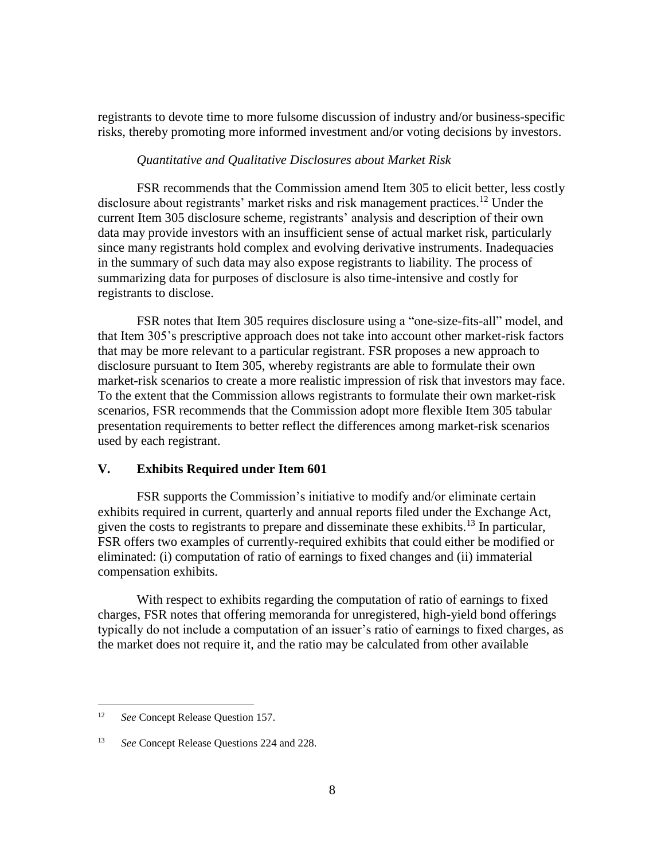registrants to devote time to more fulsome discussion of industry and/or business-specific risks, thereby promoting more informed investment and/or voting decisions by investors.

### *Quantitative and Qualitative Disclosures about Market Risk*

FSR recommends that the Commission amend Item 305 to elicit better, less costly disclosure about registrants' market risks and risk management practices.<sup>12</sup> Under the current Item 305 disclosure scheme, registrants' analysis and description of their own data may provide investors with an insufficient sense of actual market risk, particularly since many registrants hold complex and evolving derivative instruments. Inadequacies in the summary of such data may also expose registrants to liability. The process of summarizing data for purposes of disclosure is also time-intensive and costly for registrants to disclose.

FSR notes that Item 305 requires disclosure using a "one-size-fits-all" model, and that Item 305's prescriptive approach does not take into account other market-risk factors that may be more relevant to a particular registrant. FSR proposes a new approach to disclosure pursuant to Item 305, whereby registrants are able to formulate their own market-risk scenarios to create a more realistic impression of risk that investors may face. To the extent that the Commission allows registrants to formulate their own market-risk scenarios, FSR recommends that the Commission adopt more flexible Item 305 tabular presentation requirements to better reflect the differences among market-risk scenarios used by each registrant.

### **V. Exhibits Required under Item 601**

FSR supports the Commission's initiative to modify and/or eliminate certain exhibits required in current, quarterly and annual reports filed under the Exchange Act, given the costs to registrants to prepare and disseminate these exhibits.<sup>13</sup> In particular, FSR offers two examples of currently-required exhibits that could either be modified or eliminated: (i) computation of ratio of earnings to fixed changes and (ii) immaterial compensation exhibits.

With respect to exhibits regarding the computation of ratio of earnings to fixed charges, FSR notes that offering memoranda for unregistered, high-yield bond offerings typically do not include a computation of an issuer's ratio of earnings to fixed charges, as the market does not require it, and the ratio may be calculated from other available

<sup>12</sup> *See* Concept Release Question 157.

<sup>13</sup> *See* Concept Release Questions 224 and 228.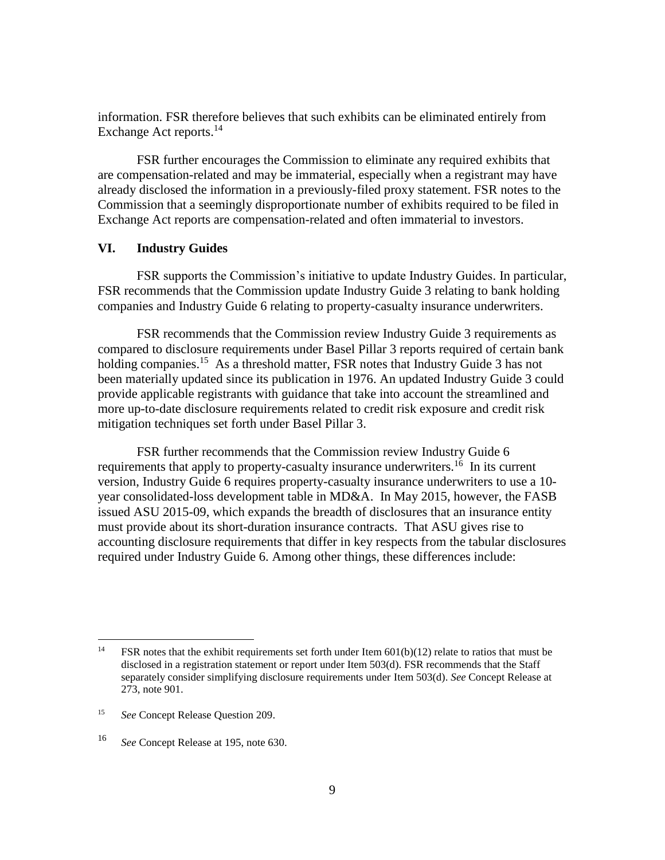information. FSR therefore believes that such exhibits can be eliminated entirely from Exchange Act reports.<sup>14</sup>

FSR further encourages the Commission to eliminate any required exhibits that are compensation-related and may be immaterial, especially when a registrant may have already disclosed the information in a previously-filed proxy statement. FSR notes to the Commission that a seemingly disproportionate number of exhibits required to be filed in Exchange Act reports are compensation-related and often immaterial to investors.

### **VI. Industry Guides**

FSR supports the Commission's initiative to update Industry Guides. In particular, FSR recommends that the Commission update Industry Guide 3 relating to bank holding companies and Industry Guide 6 relating to property-casualty insurance underwriters.

FSR recommends that the Commission review Industry Guide 3 requirements as compared to disclosure requirements under Basel Pillar 3 reports required of certain bank holding companies.<sup>15</sup> As a threshold matter, FSR notes that Industry Guide 3 has not been materially updated since its publication in 1976. An updated Industry Guide 3 could provide applicable registrants with guidance that take into account the streamlined and more up-to-date disclosure requirements related to credit risk exposure and credit risk mitigation techniques set forth under Basel Pillar 3.

FSR further recommends that the Commission review Industry Guide 6 requirements that apply to property-casualty insurance underwriters.<sup>16</sup> In its current version, Industry Guide 6 requires property-casualty insurance underwriters to use a 10 year consolidated-loss development table in MD&A. In May 2015, however, the FASB issued ASU 2015-09, which expands the breadth of disclosures that an insurance entity must provide about its short-duration insurance contracts. That ASU gives rise to accounting disclosure requirements that differ in key respects from the tabular disclosures required under Industry Guide 6. Among other things, these differences include:

 $14$ FSR notes that the exhibit requirements set forth under Item  $601(b)(12)$  relate to ratios that must be disclosed in a registration statement or report under Item 503(d). FSR recommends that the Staff separately consider simplifying disclosure requirements under Item 503(d). *See* Concept Release at 273, note 901.

<sup>15</sup> *See* Concept Release Question 209.

<sup>16</sup> *See* Concept Release at 195, note 630.